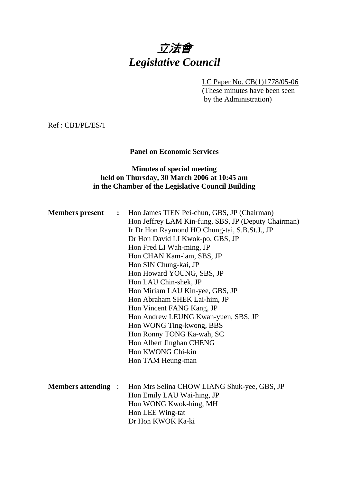# 立法會 *Legislative Council*

LC Paper No. CB(1)1778/05-06 (These minutes have been seen by the Administration)

Ref : CB1/PL/ES/1

**Panel on Economic Services** 

# **Minutes of special meeting held on Thursday, 30 March 2006 at 10:45 am in the Chamber of the Legislative Council Building**

| <b>Members</b> present<br>$\ddot{\bullet}$ |  | Hon James TIEN Pei-chun, GBS, JP (Chairman)<br>Hon Jeffrey LAM Kin-fung, SBS, JP (Deputy Chairman)<br>Ir Dr Hon Raymond HO Chung-tai, S.B.St.J., JP<br>Dr Hon David LI Kwok-po, GBS, JP<br>Hon Fred LI Wah-ming, JP<br>Hon CHAN Kam-lam, SBS, JP<br>Hon SIN Chung-kai, JP<br>Hon Howard YOUNG, SBS, JP<br>Hon LAU Chin-shek, JP<br>Hon Miriam LAU Kin-yee, GBS, JP<br>Hon Abraham SHEK Lai-him, JP<br>Hon Vincent FANG Kang, JP<br>Hon Andrew LEUNG Kwan-yuen, SBS, JP<br>Hon WONG Ting-kwong, BBS<br>Hon Ronny TONG Ka-wah, SC |  |
|--------------------------------------------|--|---------------------------------------------------------------------------------------------------------------------------------------------------------------------------------------------------------------------------------------------------------------------------------------------------------------------------------------------------------------------------------------------------------------------------------------------------------------------------------------------------------------------------------|--|
| <b>Members attending :</b>                 |  | Hon Albert Jinghan CHENG<br>Hon KWONG Chi-kin<br>Hon TAM Heung-man<br>Hon Mrs Selina CHOW LIANG Shuk-yee, GBS, JP<br>Hon Emily LAU Wai-hing, JP<br>Hon WONG Kwok-hing, MH<br>Hon LEE Wing-tat<br>Dr Hon KWOK Ka-ki                                                                                                                                                                                                                                                                                                              |  |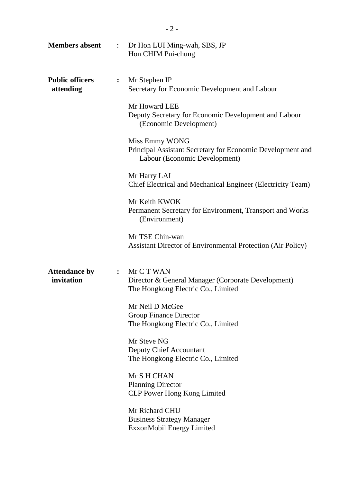| <b>Members absent</b>               | $\ddot{\cdot}$ | Dr Hon LUI Ming-wah, SBS, JP<br>Hon CHIM Pui-chung                                                                                                                                                                                                                                                                                                                                                                                                                                                                                                       |  |
|-------------------------------------|----------------|----------------------------------------------------------------------------------------------------------------------------------------------------------------------------------------------------------------------------------------------------------------------------------------------------------------------------------------------------------------------------------------------------------------------------------------------------------------------------------------------------------------------------------------------------------|--|
| <b>Public officers</b><br>attending | $\ddot{\cdot}$ | Mr Stephen IP<br>Secretary for Economic Development and Labour<br>Mr Howard LEE<br>Deputy Secretary for Economic Development and Labour<br>(Economic Development)<br>Miss Emmy WONG<br>Principal Assistant Secretary for Economic Development and<br>Labour (Economic Development)<br>Mr Harry LAI<br>Chief Electrical and Mechanical Engineer (Electricity Team)<br>Mr Keith KWOK<br>Permanent Secretary for Environment, Transport and Works<br>(Environment)<br>Mr TSE Chin-wan<br><b>Assistant Director of Environmental Protection (Air Policy)</b> |  |
| <b>Attendance by</b><br>invitation  | $\ddot{\cdot}$ | Mr C T WAN<br>Director & General Manager (Corporate Development)<br>The Hongkong Electric Co., Limited<br>Mr Neil D McGee<br><b>Group Finance Director</b><br>The Hongkong Electric Co., Limited<br>Mr Steve NG<br><b>Deputy Chief Accountant</b><br>The Hongkong Electric Co., Limited<br>Mr S H CHAN<br><b>Planning Director</b><br><b>CLP Power Hong Kong Limited</b><br>Mr Richard CHU<br><b>Business Strategy Manager</b><br>ExxonMobil Energy Limited                                                                                              |  |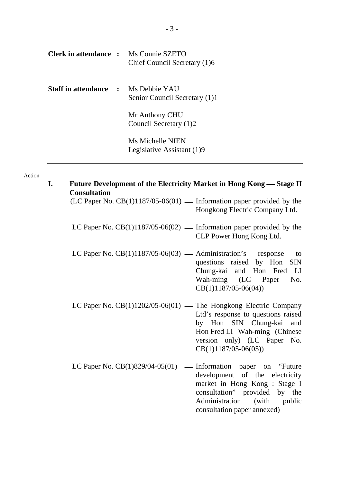| <b>Clerk in attendance :</b> Ms Connie SZETO | Chief Council Secretary (1)6                   |
|----------------------------------------------|------------------------------------------------|
| <b>Staff in attendance : Ms Debbie YAU</b>   | Senior Council Secretary (1)1                  |
|                                              | Mr Anthony CHU<br>Council Secretary (1)2       |
|                                              | Ms Michelle NIEN<br>Legislative Assistant (1)9 |

#### Action

**I.** Future Development of the Electricity Market in Hong Kong — Stage II **Consultation** 

(LC Paper No.  $CB(1)1187/05-06(01)$  — Information paper provided by the Hongkong Electric Company Ltd.

- LC Paper No.  $CB(1)1187/05-06(02)$  Information paper provided by the CLP Power Hong Kong Ltd.
- LC Paper No.  $CB(1)1187/05-06(03)$  Administration's response to questions raised by Hon SIN Chung-kai and Hon Fred LI Wah-ming (LC Paper No. CB(1)1187/05-06(04))
- LC Paper No.  $CB(1)1202/05-06(01)$  The Hongkong Electric Company Ltd's response to questions raised by Hon SIN Chung-kai and Hon Fred LI Wah-ming (Chinese version only) (LC Paper No. CB(1)1187/05-06(05))
- LC Paper No.  $CB(1)829/04-05(01)$  Information paper on "Future" development of the electricity market in Hong Kong : Stage I consultation" provided by the Administration (with public consultation paper annexed)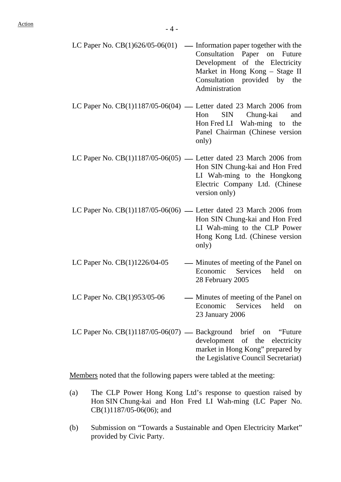- LC Paper No.  $CB(1)626/05-06(01)$  Information paper together with the Consultation Paper on Future Development of the Electricity Market in Hong Kong – Stage II Consultation provided by the Administration
- LC Paper No.  $CB(1)1187/05-06(04)$  Letter dated 23 March 2006 from Hon SIN Chung-kai and Hon Fred LI Wah-ming to the Panel Chairman (Chinese version only)
- LC Paper No.  $CB(1)1187/05-06(05)$  Letter dated 23 March 2006 from Hon SIN Chung-kai and Hon Fred LI Wah-ming to the Hongkong Electric Company Ltd. (Chinese version only)
- LC Paper No.  $CB(1)1187/05-06(06)$  Letter dated 23 March 2006 from Hon SIN Chung-kai and Hon Fred LI Wah-ming to the CLP Power Hong Kong Ltd. (Chinese version only)
- LC Paper No.  $CB(1)1226/04-05$  Minutes of meeting of the Panel on Economic Services held on 28 February 2005
- LC Paper No.  $CB(1)953/05-06$  Minutes of meeting of the Panel on Economic Services held on 23 January 2006
- LC Paper No.  $CB(1)1187/05-06(07)$  Background brief on "Future" development of the electricity market in Hong Kong" prepared by the Legislative Council Secretariat)

Members noted that the following papers were tabled at the meeting:

- (a) The CLP Power Hong Kong Ltd's response to question raised by Hon SIN Chung-kai and Hon Fred LI Wah-ming (LC Paper No. CB(1)1187/05-06(06); and
- (b) Submission on "Towards a Sustainable and Open Electricity Market" provided by Civic Party.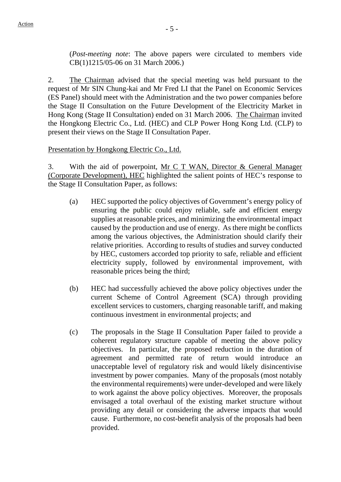(*Post-meeting note*: The above papers were circulated to members vide CB(1)1215/05-06 on 31 March 2006.)

2. The Chairman advised that the special meeting was held pursuant to the request of Mr SIN Chung-kai and Mr Fred LI that the Panel on Economic Services (ES Panel) should meet with the Administration and the two power companies before the Stage II Consultation on the Future Development of the Electricity Market in Hong Kong (Stage II Consultation) ended on 31 March 2006. The Chairman invited the Hongkong Electric Co., Ltd. (HEC) and CLP Power Hong Kong Ltd. (CLP) to present their views on the Stage II Consultation Paper.

### Presentation by Hongkong Electric Co., Ltd.

3. With the aid of powerpoint, Mr C T WAN, Director & General Manager (Corporate Development), HEC highlighted the salient points of HEC's response to the Stage II Consultation Paper, as follows:

- (a) HEC supported the policy objectives of Government's energy policy of ensuring the public could enjoy reliable, safe and efficient energy supplies at reasonable prices, and minimizing the environmental impact caused by the production and use of energy. As there might be conflicts among the various objectives, the Administration should clarify their relative priorities. According to results of studies and survey conducted by HEC, customers accorded top priority to safe, reliable and efficient electricity supply, followed by environmental improvement, with reasonable prices being the third;
- (b) HEC had successfully achieved the above policy objectives under the current Scheme of Control Agreement (SCA) through providing excellent services to customers, charging reasonable tariff, and making continuous investment in environmental projects; and
- (c) The proposals in the Stage II Consultation Paper failed to provide a coherent regulatory structure capable of meeting the above policy objectives. In particular, the proposed reduction in the duration of agreement and permitted rate of return would introduce an unacceptable level of regulatory risk and would likely disincentivise investment by power companies. Many of the proposals (most notably the environmental requirements) were under-developed and were likely to work against the above policy objectives. Moreover, the proposals envisaged a total overhaul of the existing market structure without providing any detail or considering the adverse impacts that would cause. Furthermore, no cost-benefit analysis of the proposals had been provided.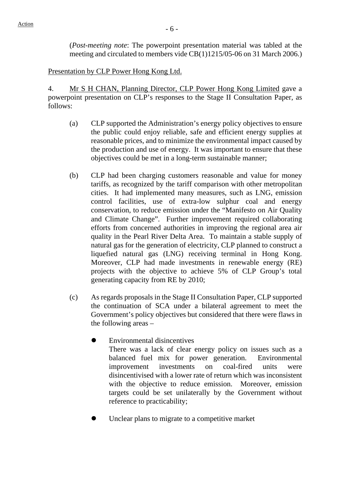(*Post-meeting note*: The powerpoint presentation material was tabled at the meeting and circulated to members vide CB(1)1215/05-06 on 31 March 2006.)

Presentation by CLP Power Hong Kong Ltd.

4. Mr S H CHAN, Planning Director, CLP Power Hong Kong Limited gave a powerpoint presentation on CLP's responses to the Stage II Consultation Paper, as follows:

- (a) CLP supported the Administration's energy policy objectives to ensure the public could enjoy reliable, safe and efficient energy supplies at reasonable prices, and to minimize the environmental impact caused by the production and use of energy. It was important to ensure that these objectives could be met in a long-term sustainable manner;
- (b) CLP had been charging customers reasonable and value for money tariffs, as recognized by the tariff comparison with other metropolitan cities. It had implemented many measures, such as LNG, emission control facilities, use of extra-low sulphur coal and energy conservation, to reduce emission under the "Manifesto on Air Quality and Climate Change". Further improvement required collaborating efforts from concerned authorities in improving the regional area air quality in the Pearl River Delta Area. To maintain a stable supply of natural gas for the generation of electricity, CLP planned to construct a liquefied natural gas (LNG) receiving terminal in Hong Kong. Moreover, CLP had made investments in renewable energy (RE) projects with the objective to achieve 5% of CLP Group's total generating capacity from RE by 2010;
- (c) As regards proposals in the Stage II Consultation Paper, CLP supported the continuation of SCA under a bilateral agreement to meet the Government's policy objectives but considered that there were flaws in the following areas –
	- Environmental disincentives There was a lack of clear energy policy on issues such as a balanced fuel mix for power generation. Environmental improvement investments on coal-fired units were disincentivised with a lower rate of return which was inconsistent with the objective to reduce emission. Moreover, emission targets could be set unilaterally by the Government without reference to practicability;
	- ! Unclear plans to migrate to a competitive market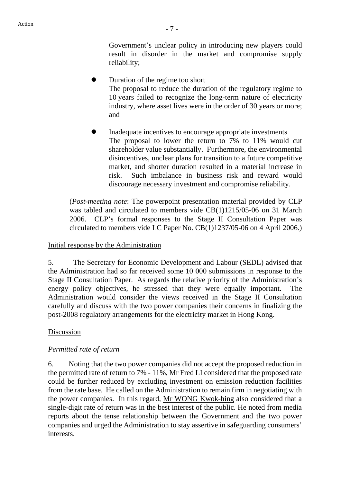Government's unclear policy in introducing new players could result in disorder in the market and compromise supply reliability;

- ! Duration of the regime too short The proposal to reduce the duration of the regulatory regime to 10 years failed to recognize the long-term nature of electricity industry, where asset lives were in the order of 30 years or more; and
- ! Inadequate incentives to encourage appropriate investments The proposal to lower the return to 7% to 11% would cut shareholder value substantially. Furthermore, the environmental disincentives, unclear plans for transition to a future competitive market, and shorter duration resulted in a material increase in risk. Such imbalance in business risk and reward would discourage necessary investment and compromise reliability.

(*Post-meeting note*: The powerpoint presentation material provided by CLP was tabled and circulated to members vide CB(1)1215/05-06 on 31 March 2006. CLP's formal responses to the Stage II Consultation Paper was circulated to members vide LC Paper No. CB(1)1237/05-06 on 4 April 2006.)

#### Initial response by the Administration

5. The Secretary for Economic Development and Labour (SEDL) advised that the Administration had so far received some 10 000 submissions in response to the Stage II Consultation Paper. As regards the relative priority of the Administration's energy policy objectives, he stressed that they were equally important. The Administration would consider the views received in the Stage II Consultation carefully and discuss with the two power companies their concerns in finalizing the post-2008 regulatory arrangements for the electricity market in Hong Kong.

#### Discussion

#### *Permitted rate of return*

6. Noting that the two power companies did not accept the proposed reduction in the permitted rate of return to 7% - 11%, Mr Fred LI considered that the proposed rate could be further reduced by excluding investment on emission reduction facilities from the rate base. He called on the Administration to remain firm in negotiating with the power companies. In this regard, Mr WONG Kwok-hing also considered that a single-digit rate of return was in the best interest of the public. He noted from media reports about the tense relationship between the Government and the two power companies and urged the Administration to stay assertive in safeguarding consumers' interests.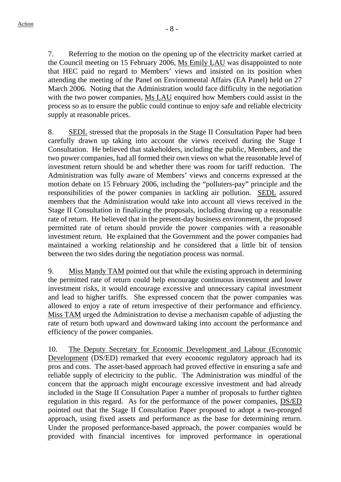7. Referring to the motion on the opening up of the electricity market carried at the Council meeting on 15 February 2006, Ms Emily LAU was disappointed to note that HEC paid no regard to Members' views and insisted on its position when attending the meeting of the Panel on Environmental Affairs (EA Panel) held on 27 March 2006. Noting that the Administration would face difficulty in the negotiation with the two power companies, Ms LAU enquired how Members could assist in the process so as to ensure the public could continue to enjoy safe and reliable electricity supply at reasonable prices.

8. SEDL stressed that the proposals in the Stage II Consultation Paper had been carefully drawn up taking into account the views received during the Stage I Consultation. He believed that stakeholders, including the public, Members, and the two power companies, had all formed their own views on what the reasonable level of investment return should be and whether there was room for tariff reduction. The Administration was fully aware of Members' views and concerns expressed at the motion debate on 15 February 2006, including the "polluters-pay" principle and the responsibilities of the power companies in tackling air pollution. SEDL assured members that the Administration would take into account all views received in the Stage II Consultation in finalizing the proposals, including drawing up a reasonable rate of return. He believed that in the present-day business environment, the proposed permitted rate of return should provide the power companies with a reasonable investment return. He explained that the Government and the power companies had maintained a working relationship and he considered that a little bit of tension between the two sides during the negotiation process was normal.

9. Miss Mandy TAM pointed out that while the existing approach in determining the permitted rate of return could help encourage continuous investment and lower investment risks, it would encourage excessive and unnecessary capital investment and lead to higher tariffs. She expressed concern that the power companies was allowed to enjoy a rate of return irrespective of their performance and efficiency. Miss TAM urged the Administration to devise a mechanism capable of adjusting the rate of return both upward and downward taking into account the performance and efficiency of the power companies.

10. The Deputy Secretary for Economic Development and Labour (Economic Development (DS/ED) remarked that every economic regulatory approach had its pros and cons. The asset-based approach had proved effective in ensuring a safe and reliable supply of electricity to the public. The Administration was mindful of the concern that the approach might encourage excessive investment and had already included in the Stage II Consultation Paper a number of proposals to further tighten regulation in this regard. As for the performance of the power companies, DS/ED pointed out that the Stage II Consultation Paper proposed to adopt a two-pronged approach, using fixed assets and performance as the base for determining return. Under the proposed performance-based approach, the power companies would be provided with financial incentives for improved performance in operational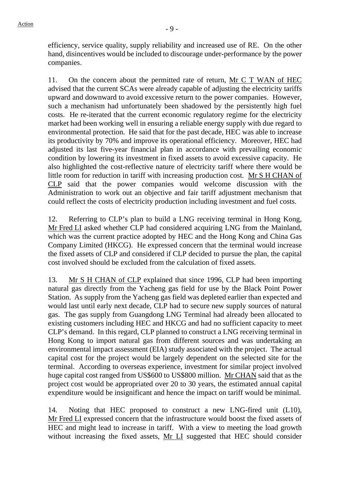efficiency, service quality, supply reliability and increased use of RE. On the other hand, disincentives would be included to discourage under-performance by the power companies.

11. On the concern about the permitted rate of return, Mr C T WAN of HEC advised that the current SCAs were already capable of adjusting the electricity tariffs upward and downward to avoid excessive return to the power companies. However, such a mechanism had unfortunately been shadowed by the persistently high fuel costs. He re-iterated that the current economic regulatory regime for the electricity market had been working well in ensuring a reliable energy supply with due regard to environmental protection. He said that for the past decade, HEC was able to increase its productivity by 70% and improve its operational efficiency. Moreover, HEC had adjusted its last five-year financial plan in accordance with prevailing economic condition by lowering its investment in fixed assets to avoid excessive capacity. He also highlighted the cost-reflective nature of electricity tariff where there would be little room for reduction in tariff with increasing production cost. Mr S H CHAN of CLP said that the power companies would welcome discussion with the Administration to work out an objective and fair tariff adjustment mechanism that could reflect the costs of electricity production including investment and fuel costs.

12. Referring to CLP's plan to build a LNG receiving terminal in Hong Kong, Mr Fred LI asked whether CLP had considered acquiring LNG from the Mainland, which was the current practice adopted by HEC and the Hong Kong and China Gas Company Limited (HKCG). He expressed concern that the terminal would increase the fixed assets of CLP and considered if CLP decided to pursue the plan, the capital cost involved should be excluded from the calculation of fixed assets.

13. Mr S H CHAN of CLP explained that since 1996, CLP had been importing natural gas directly from the Yacheng gas field for use by the Black Point Power Station. As supply from the Yacheng gas field was depleted earlier than expected and would last until early next decade, CLP had to secure new supply sources of natural gas. The gas supply from Guangdong LNG Terminal had already been allocated to existing customers including HEC and HKCG and had no sufficient capacity to meet CLP's demand. In this regard, CLP planned to construct a LNG receiving terminal in Hong Kong to import natural gas from different sources and was undertaking an environmental impact assessment (EIA) study associated with the project. The actual capital cost for the project would be largely dependent on the selected site for the terminal. According to overseas experience, investment for similar project involved huge capital cost ranged from US\$600 to US\$800 million. Mr CHAN said that as the project cost would be appropriated over 20 to 30 years, the estimated annual capital expenditure would be insignificant and hence the impact on tariff would be minimal.

14. Noting that HEC proposed to construct a new LNG-fired unit (L10), Mr Fred LI expressed concern that the infrastructure would boost the fixed assets of HEC and might lead to increase in tariff. With a view to meeting the load growth without increasing the fixed assets, Mr LI suggested that HEC should consider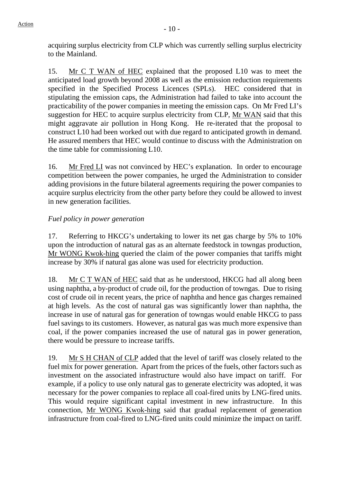acquiring surplus electricity from CLP which was currently selling surplus electricity to the Mainland.

15. Mr C T WAN of HEC explained that the proposed L10 was to meet the anticipated load growth beyond 2008 as well as the emission reduction requirements specified in the Specified Process Licences (SPLs). HEC considered that in stipulating the emission caps, the Administration had failed to take into account the practicability of the power companies in meeting the emission caps. On Mr Fred LI's suggestion for HEC to acquire surplus electricity from CLP, Mr WAN said that this might aggravate air pollution in Hong Kong. He re-iterated that the proposal to construct L10 had been worked out with due regard to anticipated growth in demand. He assured members that HEC would continue to discuss with the Administration on the time table for commissioning L10.

16. Mr Fred LI was not convinced by HEC's explanation. In order to encourage competition between the power companies, he urged the Administration to consider adding provisions in the future bilateral agreements requiring the power companies to acquire surplus electricity from the other party before they could be allowed to invest in new generation facilities.

# *Fuel policy in power generation*

17. Referring to HKCG's undertaking to lower its net gas charge by 5% to 10% upon the introduction of natural gas as an alternate feedstock in towngas production, Mr WONG Kwok-hing queried the claim of the power companies that tariffs might increase by 30% if natural gas alone was used for electricity production.

18. Mr C T WAN of HEC said that as he understood, HKCG had all along been using naphtha, a by-product of crude oil, for the production of towngas. Due to rising cost of crude oil in recent years, the price of naphtha and hence gas charges remained at high levels. As the cost of natural gas was significantly lower than naphtha, the increase in use of natural gas for generation of towngas would enable HKCG to pass fuel savings to its customers. However, as natural gas was much more expensive than coal, if the power companies increased the use of natural gas in power generation, there would be pressure to increase tariffs.

19. Mr S H CHAN of CLP added that the level of tariff was closely related to the fuel mix for power generation. Apart from the prices of the fuels, other factors such as investment on the associated infrastructure would also have impact on tariff. For example, if a policy to use only natural gas to generate electricity was adopted, it was necessary for the power companies to replace all coal-fired units by LNG-fired units. This would require significant capital investment in new infrastructure. In this connection, Mr WONG Kwok-hing said that gradual replacement of generation infrastructure from coal-fired to LNG-fired units could minimize the impact on tariff.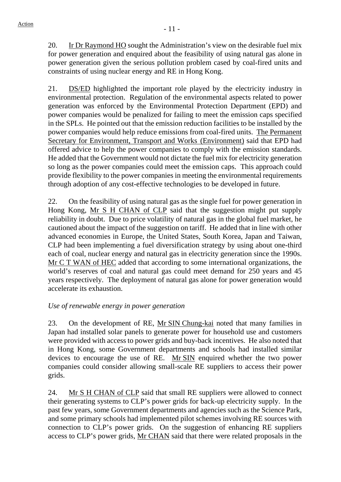20. Ir Dr Raymond HO sought the Administration's view on the desirable fuel mix for power generation and enquired about the feasibility of using natural gas alone in power generation given the serious pollution problem cased by coal-fired units and constraints of using nuclear energy and RE in Hong Kong.

21. DS/ED highlighted the important role played by the electricity industry in environmental protection. Regulation of the environmental aspects related to power generation was enforced by the Environmental Protection Department (EPD) and power companies would be penalized for failing to meet the emission caps specified in the SPLs. He pointed out that the emission reduction facilities to be installed by the power companies would help reduce emissions from coal-fired units. The Permanent Secretary for Environment, Transport and Works (Environment) said that EPD had offered advice to help the power companies to comply with the emission standards. He added that the Government would not dictate the fuel mix for electricity generation so long as the power companies could meet the emission caps. This approach could provide flexibility to the power companies in meeting the environmental requirements through adoption of any cost-effective technologies to be developed in future.

22. On the feasibility of using natural gas as the single fuel for power generation in Hong Kong, Mr S H CHAN of CLP said that the suggestion might put supply reliability in doubt. Due to price volatility of natural gas in the global fuel market, he cautioned about the impact of the suggestion on tariff. He added that in line with other advanced economies in Europe, the United States, South Korea, Japan and Taiwan, CLP had been implementing a fuel diversification strategy by using about one-third each of coal, nuclear energy and natural gas in electricity generation since the 1990s. Mr C T WAN of HEC added that according to some international organizations, the world's reserves of coal and natural gas could meet demand for 250 years and 45 years respectively. The deployment of natural gas alone for power generation would accelerate its exhaustion.

### *Use of renewable energy in power generation*

23. On the development of RE, Mr SIN Chung-kai noted that many families in Japan had installed solar panels to generate power for household use and customers were provided with access to power grids and buy-back incentives. He also noted that in Hong Kong, some Government departments and schools had installed similar devices to encourage the use of RE. Mr SIN enquired whether the two power companies could consider allowing small-scale RE suppliers to access their power grids.

24. Mr S H CHAN of CLP said that small RE suppliers were allowed to connect their generating systems to CLP's power grids for back-up electricity supply. In the past few years, some Government departments and agencies such as the Science Park, and some primary schools had implemented pilot schemes involving RE sources with connection to CLP's power grids. On the suggestion of enhancing RE suppliers access to CLP's power grids, Mr CHAN said that there were related proposals in the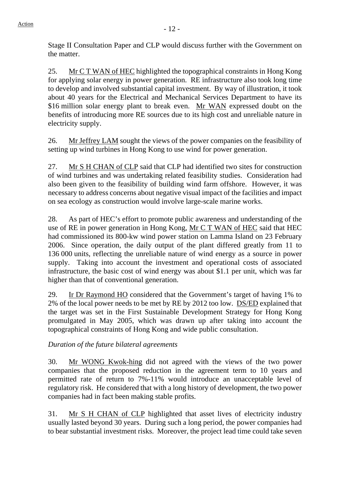Stage II Consultation Paper and CLP would discuss further with the Government on the matter.

25. Mr C T WAN of HEC highlighted the topographical constraints in Hong Kong for applying solar energy in power generation. RE infrastructure also took long time to develop and involved substantial capital investment. By way of illustration, it took about 40 years for the Electrical and Mechanical Services Department to have its \$16 million solar energy plant to break even. Mr WAN expressed doubt on the benefits of introducing more RE sources due to its high cost and unreliable nature in electricity supply.

26. Mr Jeffrey LAM sought the views of the power companies on the feasibility of setting up wind turbines in Hong Kong to use wind for power generation.

27. Mr S H CHAN of CLP said that CLP had identified two sites for construction of wind turbines and was undertaking related feasibility studies. Consideration had also been given to the feasibility of building wind farm offshore. However, it was necessary to address concerns about negative visual impact of the facilities and impact on sea ecology as construction would involve large-scale marine works.

28. As part of HEC's effort to promote public awareness and understanding of the use of RE in power generation in Hong Kong, Mr C T WAN of HEC said that HEC had commissioned its 800-kw wind power station on Lamma Island on 23 February 2006. Since operation, the daily output of the plant differed greatly from 11 to 136 000 units, reflecting the unreliable nature of wind energy as a source in power supply. Taking into account the investment and operational costs of associated infrastructure, the basic cost of wind energy was about \$1.1 per unit, which was far higher than that of conventional generation.

29. Ir Dr Raymond HO considered that the Government's target of having 1% to 2% of the local power needs to be met by RE by 2012 too low. DS/ED explained that the target was set in the First Sustainable Development Strategy for Hong Kong promulgated in May 2005, which was drawn up after taking into account the topographical constraints of Hong Kong and wide public consultation.

*Duration of the future bilateral agreements* 

30. Mr WONG Kwok-hing did not agreed with the views of the two power companies that the proposed reduction in the agreement term to 10 years and permitted rate of return to 7%-11% would introduce an unacceptable level of regulatory risk. He considered that with a long history of development, the two power companies had in fact been making stable profits.

31. Mr S H CHAN of CLP highlighted that asset lives of electricity industry usually lasted beyond 30 years. During such a long period, the power companies had to bear substantial investment risks. Moreover, the project lead time could take seven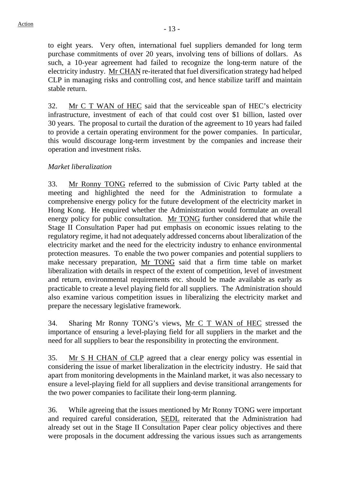to eight years. Very often, international fuel suppliers demanded for long term purchase commitments of over 20 years, involving tens of billions of dollars. As such, a 10-year agreement had failed to recognize the long-term nature of the electricity industry. Mr CHAN re-iterated that fuel diversification strategy had helped CLP in managing risks and controlling cost, and hence stabilize tariff and maintain stable return.

32. Mr C T WAN of HEC said that the serviceable span of HEC's electricity infrastructure, investment of each of that could cost over \$1 billion, lasted over 30 years. The proposal to curtail the duration of the agreement to 10 years had failed to provide a certain operating environment for the power companies. In particular, this would discourage long-term investment by the companies and increase their operation and investment risks.

# *Market liberalization*

33. Mr Ronny TONG referred to the submission of Civic Party tabled at the meeting and highlighted the need for the Administration to formulate a comprehensive energy policy for the future development of the electricity market in Hong Kong. He enquired whether the Administration would formulate an overall energy policy for public consultation. Mr TONG further considered that while the Stage II Consultation Paper had put emphasis on economic issues relating to the regulatory regime, it had not adequately addressed concerns about liberalization of the electricity market and the need for the electricity industry to enhance environmental protection measures. To enable the two power companies and potential suppliers to make necessary preparation, Mr TONG said that a firm time table on market liberalization with details in respect of the extent of competition, level of investment and return, environmental requirements etc. should be made available as early as practicable to create a level playing field for all suppliers. The Administration should also examine various competition issues in liberalizing the electricity market and prepare the necessary legislative framework.

34. Sharing Mr Ronny TONG's views, Mr C T WAN of HEC stressed the importance of ensuring a level-playing field for all suppliers in the market and the need for all suppliers to bear the responsibility in protecting the environment.

35. Mr S H CHAN of CLP agreed that a clear energy policy was essential in considering the issue of market liberalization in the electricity industry. He said that apart from monitoring developments in the Mainland market, it was also necessary to ensure a level-playing field for all suppliers and devise transitional arrangements for the two power companies to facilitate their long-term planning.

36. While agreeing that the issues mentioned by Mr Ronny TONG were important and required careful consideration, SEDL reiterated that the Administration had already set out in the Stage II Consultation Paper clear policy objectives and there were proposals in the document addressing the various issues such as arrangements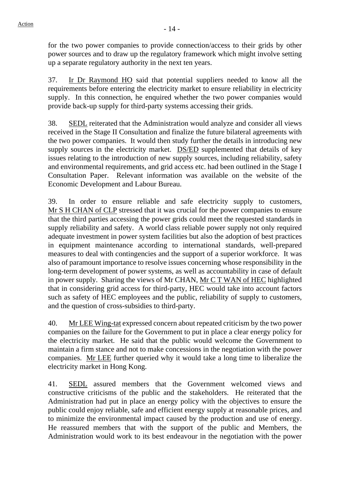for the two power companies to provide connection/access to their grids by other power sources and to draw up the regulatory framework which might involve setting up a separate regulatory authority in the next ten years.

37. Ir Dr Raymond HO said that potential suppliers needed to know all the requirements before entering the electricity market to ensure reliability in electricity supply. In this connection, he enquired whether the two power companies would provide back-up supply for third-party systems accessing their grids.

38. SEDL reiterated that the Administration would analyze and consider all views received in the Stage II Consultation and finalize the future bilateral agreements with the two power companies. It would then study further the details in introducing new supply sources in the electricity market. DS/ED supplemented that details of key issues relating to the introduction of new supply sources, including reliability, safety and environmental requirements, and grid access etc. had been outlined in the Stage I Consultation Paper. Relevant information was available on the website of the Economic Development and Labour Bureau.

39. In order to ensure reliable and safe electricity supply to customers, Mr S H CHAN of CLP stressed that it was crucial for the power companies to ensure that the third parties accessing the power grids could meet the requested standards in supply reliability and safety. A world class reliable power supply not only required adequate investment in power system facilities but also the adoption of best practices in equipment maintenance according to international standards, well-prepared measures to deal with contingencies and the support of a superior workforce. It was also of paramount importance to resolve issues concerning whose responsibility in the long-term development of power systems, as well as accountability in case of default in power supply. Sharing the views of Mr CHAN, Mr C T WAN of HEC highlighted that in considering grid access for third-party, HEC would take into account factors such as safety of HEC employees and the public, reliability of supply to customers, and the question of cross-subsidies to third-party.

40. Mr LEE Wing-tat expressed concern about repeated criticism by the two power companies on the failure for the Government to put in place a clear energy policy for the electricity market. He said that the public would welcome the Government to maintain a firm stance and not to make concessions in the negotiation with the power companies. Mr LEE further queried why it would take a long time to liberalize the electricity market in Hong Kong.

41. SEDL assured members that the Government welcomed views and constructive criticisms of the public and the stakeholders. He reiterated that the Administration had put in place an energy policy with the objectives to ensure the public could enjoy reliable, safe and efficient energy supply at reasonable prices, and to minimize the environmental impact caused by the production and use of energy. He reassured members that with the support of the public and Members, the Administration would work to its best endeavour in the negotiation with the power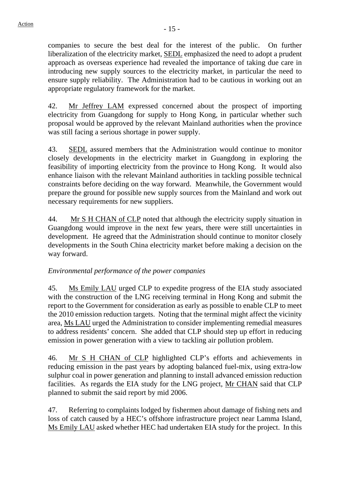companies to secure the best deal for the interest of the public. On further liberalization of the electricity market, SEDL emphasized the need to adopt a prudent approach as overseas experience had revealed the importance of taking due care in introducing new supply sources to the electricity market, in particular the need to ensure supply reliability. The Administration had to be cautious in working out an appropriate regulatory framework for the market.

42. Mr Jeffrey LAM expressed concerned about the prospect of importing electricity from Guangdong for supply to Hong Kong, in particular whether such proposal would be approved by the relevant Mainland authorities when the province was still facing a serious shortage in power supply.

43. SEDL assured members that the Administration would continue to monitor closely developments in the electricity market in Guangdong in exploring the feasibility of importing electricity from the province to Hong Kong. It would also enhance liaison with the relevant Mainland authorities in tackling possible technical constraints before deciding on the way forward. Meanwhile, the Government would prepare the ground for possible new supply sources from the Mainland and work out necessary requirements for new suppliers.

44. Mr S H CHAN of CLP noted that although the electricity supply situation in Guangdong would improve in the next few years, there were still uncertainties in development. He agreed that the Administration should continue to monitor closely developments in the South China electricity market before making a decision on the way forward.

# *Environmental performance of the power companies*

45. Ms Emily LAU urged CLP to expedite progress of the EIA study associated with the construction of the LNG receiving terminal in Hong Kong and submit the report to the Government for consideration as early as possible to enable CLP to meet the 2010 emission reduction targets. Noting that the terminal might affect the vicinity area, Ms LAU urged the Administration to consider implementing remedial measures to address residents' concern. She added that CLP should step up effort in reducing emission in power generation with a view to tackling air pollution problem.

46. Mr S H CHAN of CLP highlighted CLP's efforts and achievements in reducing emission in the past years by adopting balanced fuel-mix, using extra-low sulphur coal in power generation and planning to install advanced emission reduction facilities. As regards the EIA study for the LNG project, Mr CHAN said that CLP planned to submit the said report by mid 2006.

47. Referring to complaints lodged by fishermen about damage of fishing nets and loss of catch caused by a HEC's offshore infrastructure project near Lamma Island, Ms Emily LAU asked whether HEC had undertaken EIA study for the project. In this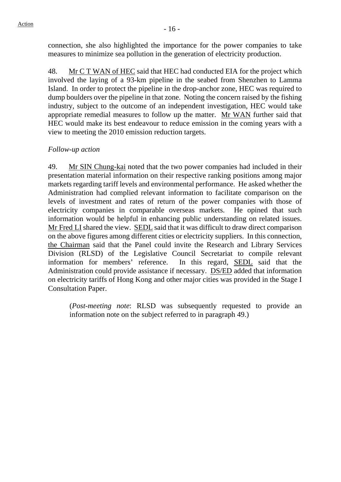connection, she also highlighted the importance for the power companies to take measures to minimize sea pollution in the generation of electricity production.

48. Mr C T WAN of HEC said that HEC had conducted EIA for the project which involved the laying of a 93-km pipeline in the seabed from Shenzhen to Lamma Island. In order to protect the pipeline in the drop-anchor zone, HEC was required to dump boulders over the pipeline in that zone. Noting the concern raised by the fishing industry, subject to the outcome of an independent investigation, HEC would take appropriate remedial measures to follow up the matter. Mr WAN further said that HEC would make its best endeavour to reduce emission in the coming years with a view to meeting the 2010 emission reduction targets.

#### *Follow-up action*

49. Mr SIN Chung-kai noted that the two power companies had included in their presentation material information on their respective ranking positions among major markets regarding tariff levels and environmental performance. He asked whether the Administration had complied relevant information to facilitate comparison on the levels of investment and rates of return of the power companies with those of electricity companies in comparable overseas markets. He opined that such information would be helpful in enhancing public understanding on related issues. Mr Fred LI shared the view. SEDL said that it was difficult to draw direct comparison on the above figures among different cities or electricity suppliers. In this connection, the Chairman said that the Panel could invite the Research and Library Services Division (RLSD) of the Legislative Council Secretariat to compile relevant information for members' reference. In this regard, SEDL said that the Administration could provide assistance if necessary. DS/ED added that information on electricity tariffs of Hong Kong and other major cities was provided in the Stage I Consultation Paper.

(*Post-meeting note*: RLSD was subsequently requested to provide an information note on the subject referred to in paragraph 49.)